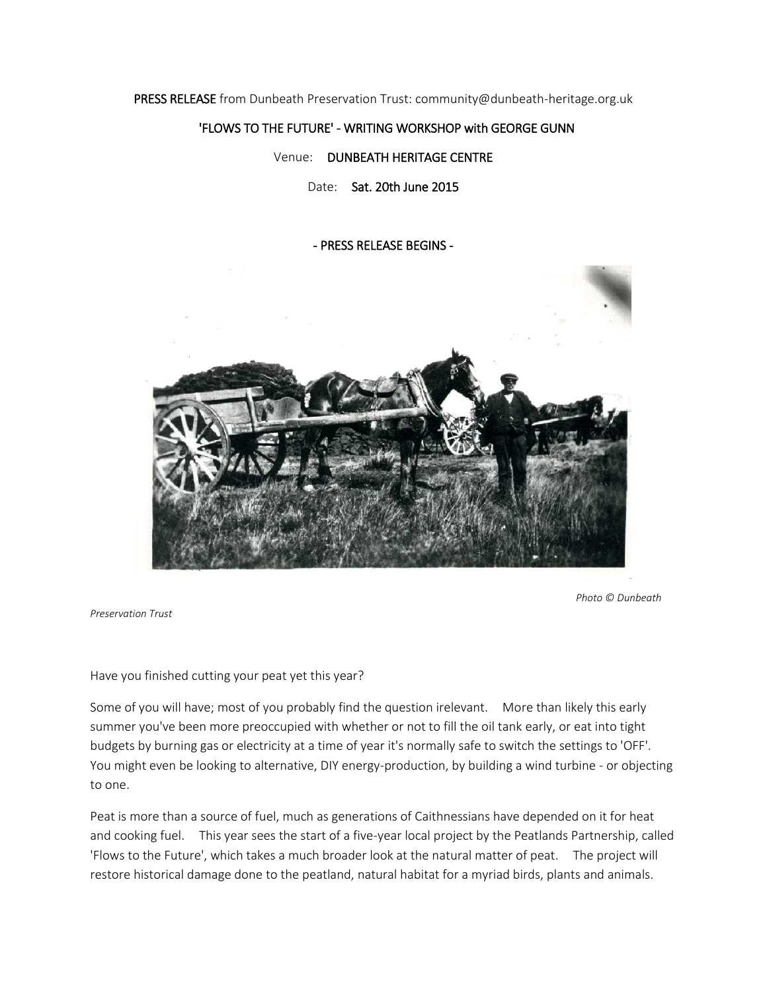PRESS RELEASE from Dunbeath Preservation Trust: community@dunbeath-heritage.org.uk

### 'FLOWS TO THE FUTURE' - WRITING WORKSHOP with GEORGE GUNN

### Venue: DUNBEATH HERITAGE CENTRE

Date: Sat. 20th June 2015

#### - PRESS RELEASE BEGINS -



 *Photo © Dunbeath* 

*Preservation Trust*

Have you finished cutting your peat yet this year?

Some of you will have; most of you probably find the question irelevant. More than likely this early summer you've been more preoccupied with whether or not to fill the oil tank early, or eat into tight budgets by burning gas or electricity at a time of year it's normally safe to switch the settings to 'OFF'. You might even be looking to alternative, DIY energy-production, by building a wind turbine - or objecting to one.

Peat is more than a source of fuel, much as generations of Caithnessians have depended on it for heat and cooking fuel. This year sees the start of a five-year local project by the Peatlands Partnership, called 'Flows to the Future', which takes a much broader look at the natural matter of peat. The project will restore historical damage done to the peatland, natural habitat for a myriad birds, plants and animals.